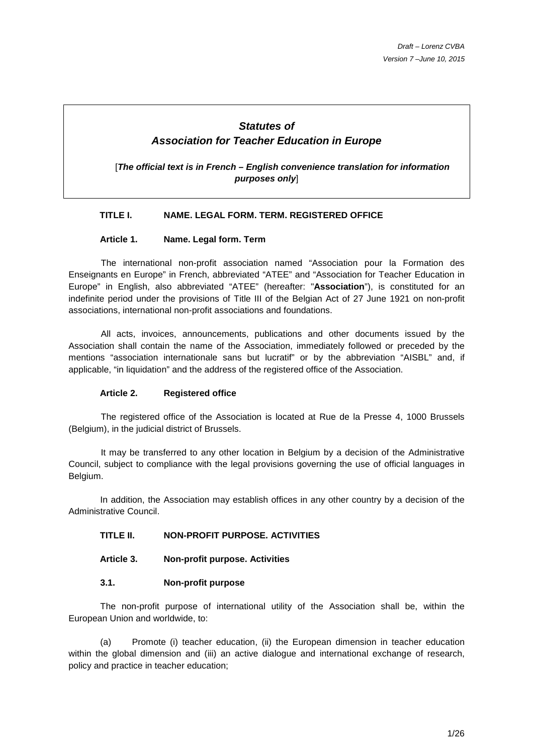# **Statutes of Association for Teacher Education in Europe**

[**The official text is in French – English convenience translation for information purposes only**]

### **TITLE I. NAME. LEGAL FORM. TERM. REGISTERED OFFICE**

### **Article 1. Name. Legal form. Term**

The international non-profit association named "Association pour la Formation des Enseignants en Europe" in French, abbreviated "ATEE" and "Association for Teacher Education in Europe" in English, also abbreviated "ATEE" (hereafter: "**Association**"), is constituted for an indefinite period under the provisions of Title III of the Belgian Act of 27 June 1921 on non-profit associations, international non-profit associations and foundations.

All acts, invoices, announcements, publications and other documents issued by the Association shall contain the name of the Association, immediately followed or preceded by the mentions "association internationale sans but lucratif" or by the abbreviation "AISBL" and, if applicable, "in liquidation" and the address of the registered office of the Association.

### **Article 2. Registered office**

The registered office of the Association is located at Rue de la Presse 4, 1000 Brussels (Belgium), in the judicial district of Brussels.

It may be transferred to any other location in Belgium by a decision of the Administrative Council, subject to compliance with the legal provisions governing the use of official languages in Belgium.

 In addition, the Association may establish offices in any other country by a decision of the Administrative Council.

### **TITLE II. NON-PROFIT PURPOSE. ACTIVITIES**

**Article 3. Non-profit purpose. Activities** 

### **3.1. Non-profit purpose**

The non-profit purpose of international utility of the Association shall be, within the European Union and worldwide, to:

(a) Promote (i) teacher education, (ii) the European dimension in teacher education within the global dimension and (iii) an active dialogue and international exchange of research, policy and practice in teacher education;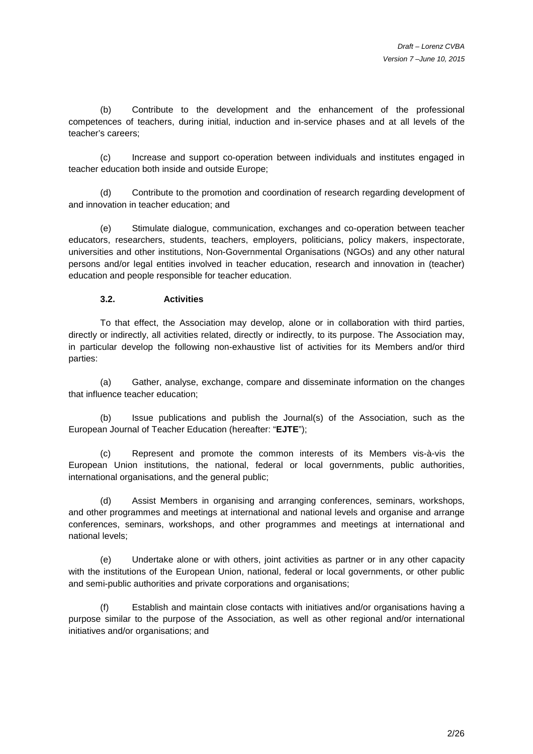(b) Contribute to the development and the enhancement of the professional competences of teachers, during initial, induction and in-service phases and at all levels of the teacher's careers;

(c) Increase and support co-operation between individuals and institutes engaged in teacher education both inside and outside Europe;

(d) Contribute to the promotion and coordination of research regarding development of and innovation in teacher education; and

(e) Stimulate dialogue, communication, exchanges and co-operation between teacher educators, researchers, students, teachers, employers, politicians, policy makers, inspectorate, universities and other institutions, Non-Governmental Organisations (NGOs) and any other natural persons and/or legal entities involved in teacher education, research and innovation in (teacher) education and people responsible for teacher education.

### **3.2. Activities**

To that effect, the Association may develop, alone or in collaboration with third parties, directly or indirectly, all activities related, directly or indirectly, to its purpose. The Association may, in particular develop the following non-exhaustive list of activities for its Members and/or third parties:

(a) Gather, analyse, exchange, compare and disseminate information on the changes that influence teacher education;

(b) Issue publications and publish the Journal(s) of the Association, such as the European Journal of Teacher Education (hereafter: "**EJTE**");

(c) Represent and promote the common interests of its Members vis-à-vis the European Union institutions, the national, federal or local governments, public authorities, international organisations, and the general public;

(d) Assist Members in organising and arranging conferences, seminars, workshops, and other programmes and meetings at international and national levels and organise and arrange conferences, seminars, workshops, and other programmes and meetings at international and national levels;

(e) Undertake alone or with others, joint activities as partner or in any other capacity with the institutions of the European Union, national, federal or local governments, or other public and semi-public authorities and private corporations and organisations;

(f) Establish and maintain close contacts with initiatives and/or organisations having a purpose similar to the purpose of the Association, as well as other regional and/or international initiatives and/or organisations; and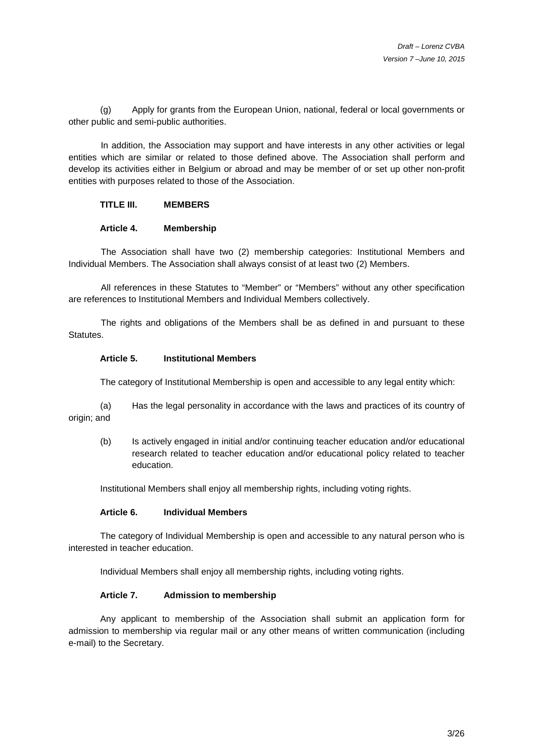(g) Apply for grants from the European Union, national, federal or local governments or other public and semi-public authorities.

In addition, the Association may support and have interests in any other activities or legal entities which are similar or related to those defined above. The Association shall perform and develop its activities either in Belgium or abroad and may be member of or set up other non-profit entities with purposes related to those of the Association.

#### **TITLE III. MEMBERS**

#### **Article 4. Membership**

The Association shall have two (2) membership categories: Institutional Members and Individual Members. The Association shall always consist of at least two (2) Members.

All references in these Statutes to "Member" or "Members" without any other specification are references to Institutional Members and Individual Members collectively.

The rights and obligations of the Members shall be as defined in and pursuant to these Statutes.

#### **Article 5. Institutional Members**

The category of Institutional Membership is open and accessible to any legal entity which:

(a) Has the legal personality in accordance with the laws and practices of its country of origin; and

(b) Is actively engaged in initial and/or continuing teacher education and/or educational research related to teacher education and/or educational policy related to teacher education.

Institutional Members shall enjoy all membership rights, including voting rights.

#### **Article 6. Individual Members**

The category of Individual Membership is open and accessible to any natural person who is interested in teacher education.

Individual Members shall enjoy all membership rights, including voting rights.

#### **Article 7. Admission to membership**

 Any applicant to membership of the Association shall submit an application form for admission to membership via regular mail or any other means of written communication (including e-mail) to the Secretary.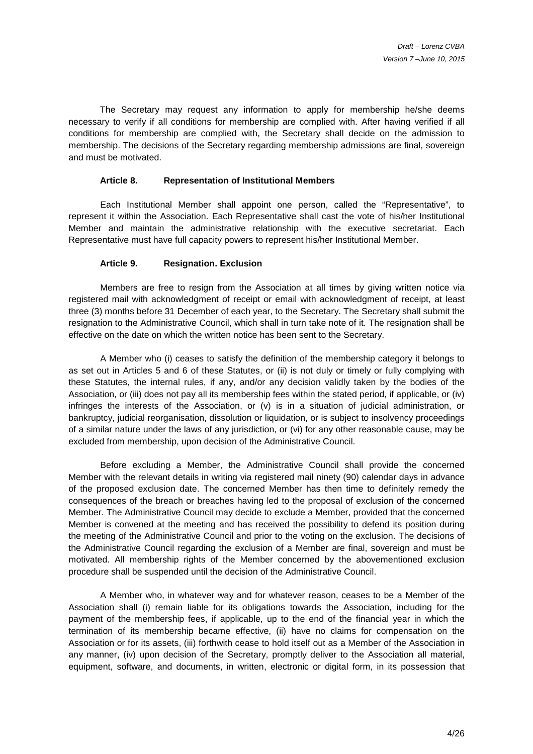The Secretary may request any information to apply for membership he/she deems necessary to verify if all conditions for membership are complied with. After having verified if all conditions for membership are complied with, the Secretary shall decide on the admission to membership. The decisions of the Secretary regarding membership admissions are final, sovereign and must be motivated.

#### **Article 8. Representation of Institutional Members**

 Each Institutional Member shall appoint one person, called the "Representative", to represent it within the Association. Each Representative shall cast the vote of his/her Institutional Member and maintain the administrative relationship with the executive secretariat. Each Representative must have full capacity powers to represent his/her Institutional Member.

#### **Article 9. Resignation. Exclusion**

 Members are free to resign from the Association at all times by giving written notice via registered mail with acknowledgment of receipt or email with acknowledgment of receipt, at least three (3) months before 31 December of each year, to the Secretary. The Secretary shall submit the resignation to the Administrative Council, which shall in turn take note of it. The resignation shall be effective on the date on which the written notice has been sent to the Secretary.

 A Member who (i) ceases to satisfy the definition of the membership category it belongs to as set out in Articles 5 and 6 of these Statutes, or (ii) is not duly or timely or fully complying with these Statutes, the internal rules, if any, and/or any decision validly taken by the bodies of the Association, or (iii) does not pay all its membership fees within the stated period, if applicable, or (iv) infringes the interests of the Association, or (v) is in a situation of judicial administration, or bankruptcy, judicial reorganisation, dissolution or liquidation, or is subject to insolvency proceedings of a similar nature under the laws of any jurisdiction, or (vi) for any other reasonable cause, may be excluded from membership, upon decision of the Administrative Council.

 Before excluding a Member, the Administrative Council shall provide the concerned Member with the relevant details in writing via registered mail ninety (90) calendar days in advance of the proposed exclusion date. The concerned Member has then time to definitely remedy the consequences of the breach or breaches having led to the proposal of exclusion of the concerned Member. The Administrative Council may decide to exclude a Member, provided that the concerned Member is convened at the meeting and has received the possibility to defend its position during the meeting of the Administrative Council and prior to the voting on the exclusion. The decisions of the Administrative Council regarding the exclusion of a Member are final, sovereign and must be motivated. All membership rights of the Member concerned by the abovementioned exclusion procedure shall be suspended until the decision of the Administrative Council.

 A Member who, in whatever way and for whatever reason, ceases to be a Member of the Association shall (i) remain liable for its obligations towards the Association, including for the payment of the membership fees, if applicable, up to the end of the financial year in which the termination of its membership became effective, (ii) have no claims for compensation on the Association or for its assets, (iii) forthwith cease to hold itself out as a Member of the Association in any manner, (iv) upon decision of the Secretary, promptly deliver to the Association all material, equipment, software, and documents, in written, electronic or digital form, in its possession that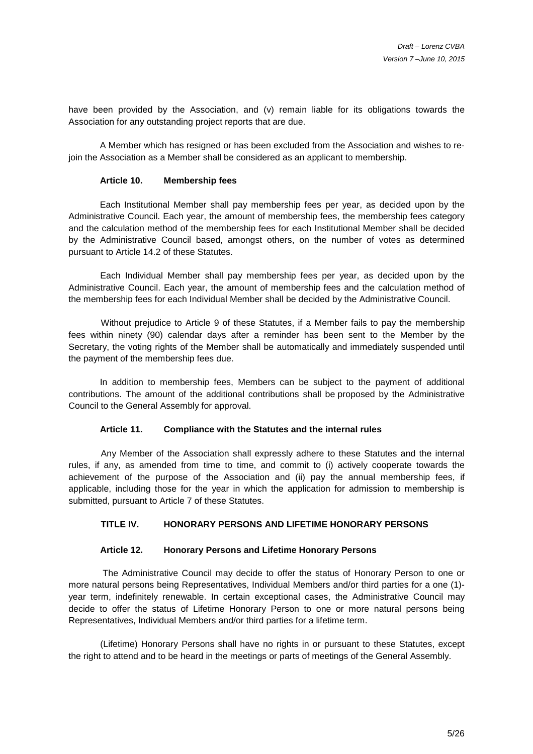have been provided by the Association, and (v) remain liable for its obligations towards the Association for any outstanding project reports that are due.

A Member which has resigned or has been excluded from the Association and wishes to rejoin the Association as a Member shall be considered as an applicant to membership.

#### **Article 10. Membership fees**

Each Institutional Member shall pay membership fees per year, as decided upon by the Administrative Council. Each year, the amount of membership fees, the membership fees category and the calculation method of the membership fees for each Institutional Member shall be decided by the Administrative Council based, amongst others, on the number of votes as determined pursuant to Article 14.2 of these Statutes.

 Each Individual Member shall pay membership fees per year, as decided upon by the Administrative Council. Each year, the amount of membership fees and the calculation method of the membership fees for each Individual Member shall be decided by the Administrative Council.

Without prejudice to Article 9 of these Statutes, if a Member fails to pay the membership fees within ninety (90) calendar days after a reminder has been sent to the Member by the Secretary, the voting rights of the Member shall be automatically and immediately suspended until the payment of the membership fees due.

In addition to membership fees, Members can be subject to the payment of additional contributions. The amount of the additional contributions shall be proposed by the Administrative Council to the General Assembly for approval.

### **Article 11. Compliance with the Statutes and the internal rules**

Any Member of the Association shall expressly adhere to these Statutes and the internal rules, if any, as amended from time to time, and commit to (i) actively cooperate towards the achievement of the purpose of the Association and (ii) pay the annual membership fees, if applicable, including those for the year in which the application for admission to membership is submitted, pursuant to Article 7 of these Statutes.

# **TITLE IV. HONORARY PERSONS AND LIFETIME HONORARY PERSONS**

#### **Article 12. Honorary Persons and Lifetime Honorary Persons**

 The Administrative Council may decide to offer the status of Honorary Person to one or more natural persons being Representatives, Individual Members and/or third parties for a one (1) year term, indefinitely renewable. In certain exceptional cases, the Administrative Council may decide to offer the status of Lifetime Honorary Person to one or more natural persons being Representatives, Individual Members and/or third parties for a lifetime term.

(Lifetime) Honorary Persons shall have no rights in or pursuant to these Statutes, except the right to attend and to be heard in the meetings or parts of meetings of the General Assembly.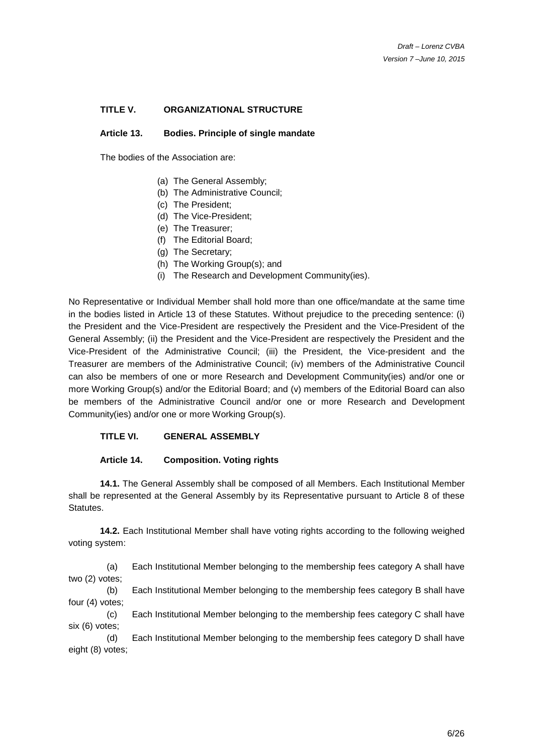# **TITLE V. ORGANIZATIONAL STRUCTURE**

#### **Article 13. Bodies. Principle of single mandate**

The bodies of the Association are:

- (a) The General Assembly;
- (b) The Administrative Council;
- (c) The President;
- (d) The Vice-President;
- (e) The Treasurer;
- (f) The Editorial Board;
- (g) The Secretary;
- (h) The Working Group(s); and
- (i) The Research and Development Community(ies).

No Representative or Individual Member shall hold more than one office/mandate at the same time in the bodies listed in Article 13 of these Statutes. Without prejudice to the preceding sentence: (i) the President and the Vice-President are respectively the President and the Vice-President of the General Assembly; (ii) the President and the Vice-President are respectively the President and the Vice-President of the Administrative Council; (iii) the President, the Vice-president and the Treasurer are members of the Administrative Council; (iv) members of the Administrative Council can also be members of one or more Research and Development Community(ies) and/or one or more Working Group(s) and/or the Editorial Board; and (v) members of the Editorial Board can also be members of the Administrative Council and/or one or more Research and Development Community(ies) and/or one or more Working Group(s).

### **TITLE VI. GENERAL ASSEMBLY**

#### **Article 14. Composition. Voting rights**

**14.1.** The General Assembly shall be composed of all Members. Each Institutional Member shall be represented at the General Assembly by its Representative pursuant to Article 8 of these Statutes.

**14.2.** Each Institutional Member shall have voting rights according to the following weighed voting system:

(a) Each Institutional Member belonging to the membership fees category A shall have two (2) votes;

(b) Each Institutional Member belonging to the membership fees category B shall have four (4) votes;

(c) Each Institutional Member belonging to the membership fees category C shall have six (6) votes;

(d) Each Institutional Member belonging to the membership fees category D shall have eight (8) votes;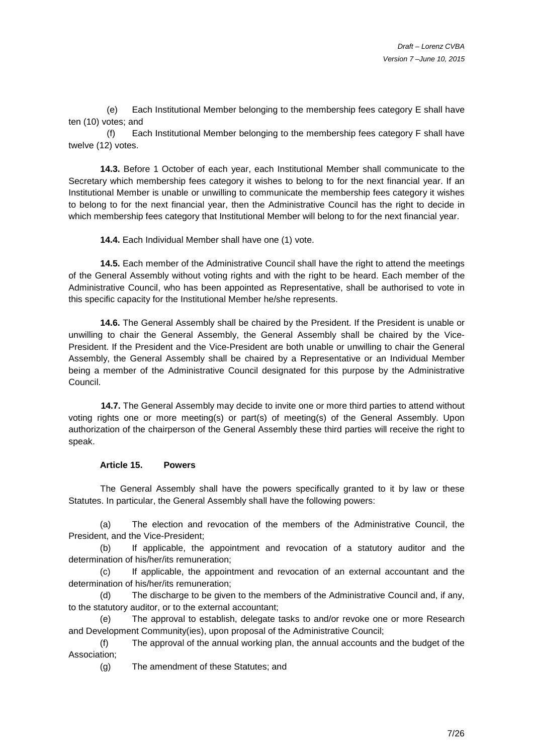(e) Each Institutional Member belonging to the membership fees category E shall have ten (10) votes; and

(f) Each Institutional Member belonging to the membership fees category F shall have twelve (12) votes.

**14.3.** Before 1 October of each year, each Institutional Member shall communicate to the Secretary which membership fees category it wishes to belong to for the next financial year. If an Institutional Member is unable or unwilling to communicate the membership fees category it wishes to belong to for the next financial year, then the Administrative Council has the right to decide in which membership fees category that Institutional Member will belong to for the next financial year.

**14.4.** Each Individual Member shall have one (1) vote.

**14.5.** Each member of the Administrative Council shall have the right to attend the meetings of the General Assembly without voting rights and with the right to be heard. Each member of the Administrative Council, who has been appointed as Representative, shall be authorised to vote in this specific capacity for the Institutional Member he/she represents.

**14.6.** The General Assembly shall be chaired by the President. If the President is unable or unwilling to chair the General Assembly, the General Assembly shall be chaired by the Vice-President. If the President and the Vice-President are both unable or unwilling to chair the General Assembly, the General Assembly shall be chaired by a Representative or an Individual Member being a member of the Administrative Council designated for this purpose by the Administrative Council.

**14.7.** The General Assembly may decide to invite one or more third parties to attend without voting rights one or more meeting(s) or part(s) of meeting(s) of the General Assembly. Upon authorization of the chairperson of the General Assembly these third parties will receive the right to speak.

#### **Article 15. Powers**

 The General Assembly shall have the powers specifically granted to it by law or these Statutes. In particular, the General Assembly shall have the following powers:

(a) The election and revocation of the members of the Administrative Council, the President, and the Vice-President;

(b) If applicable, the appointment and revocation of a statutory auditor and the determination of his/her/its remuneration;

(c) If applicable, the appointment and revocation of an external accountant and the determination of his/her/its remuneration;

(d) The discharge to be given to the members of the Administrative Council and, if any, to the statutory auditor, or to the external accountant;

(e) The approval to establish, delegate tasks to and/or revoke one or more Research and Development Community(ies), upon proposal of the Administrative Council;

(f) The approval of the annual working plan, the annual accounts and the budget of the Association;

(g) The amendment of these Statutes; and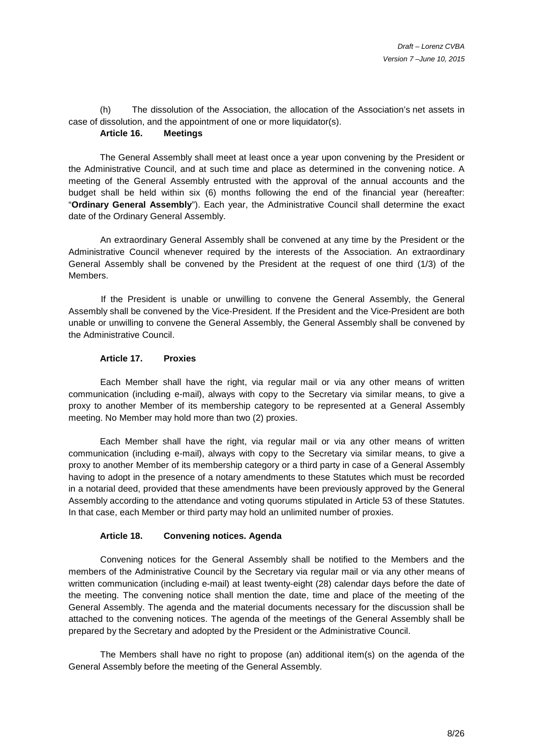(h) The dissolution of the Association, the allocation of the Association's net assets in case of dissolution, and the appointment of one or more liquidator(s).

# **Article 16. Meetings**

The General Assembly shall meet at least once a year upon convening by the President or the Administrative Council, and at such time and place as determined in the convening notice. A meeting of the General Assembly entrusted with the approval of the annual accounts and the budget shall be held within six (6) months following the end of the financial year (hereafter: "**Ordinary General Assembly**"). Each year, the Administrative Council shall determine the exact date of the Ordinary General Assembly.

 An extraordinary General Assembly shall be convened at any time by the President or the Administrative Council whenever required by the interests of the Association. An extraordinary General Assembly shall be convened by the President at the request of one third (1/3) of the Members.

If the President is unable or unwilling to convene the General Assembly, the General Assembly shall be convened by the Vice-President. If the President and the Vice-President are both unable or unwilling to convene the General Assembly, the General Assembly shall be convened by the Administrative Council.

# **Article 17. Proxies**

 Each Member shall have the right, via regular mail or via any other means of written communication (including e-mail), always with copy to the Secretary via similar means, to give a proxy to another Member of its membership category to be represented at a General Assembly meeting. No Member may hold more than two (2) proxies.

Each Member shall have the right, via regular mail or via any other means of written communication (including e-mail), always with copy to the Secretary via similar means, to give a proxy to another Member of its membership category or a third party in case of a General Assembly having to adopt in the presence of a notary amendments to these Statutes which must be recorded in a notarial deed, provided that these amendments have been previously approved by the General Assembly according to the attendance and voting quorums stipulated in Article 53 of these Statutes. In that case, each Member or third party may hold an unlimited number of proxies.

### **Article 18. Convening notices. Agenda**

 Convening notices for the General Assembly shall be notified to the Members and the members of the Administrative Council by the Secretary via regular mail or via any other means of written communication (including e-mail) at least twenty-eight (28) calendar days before the date of the meeting. The convening notice shall mention the date, time and place of the meeting of the General Assembly. The agenda and the material documents necessary for the discussion shall be attached to the convening notices. The agenda of the meetings of the General Assembly shall be prepared by the Secretary and adopted by the President or the Administrative Council.

 The Members shall have no right to propose (an) additional item(s) on the agenda of the General Assembly before the meeting of the General Assembly.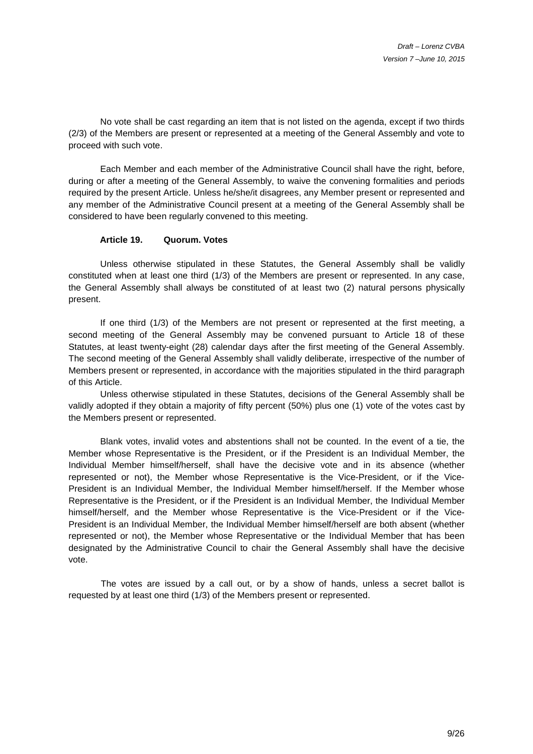No vote shall be cast regarding an item that is not listed on the agenda, except if two thirds (2/3) of the Members are present or represented at a meeting of the General Assembly and vote to proceed with such vote.

 Each Member and each member of the Administrative Council shall have the right, before, during or after a meeting of the General Assembly, to waive the convening formalities and periods required by the present Article. Unless he/she/it disagrees, any Member present or represented and any member of the Administrative Council present at a meeting of the General Assembly shall be considered to have been regularly convened to this meeting.

#### **Article 19. Quorum. Votes**

 Unless otherwise stipulated in these Statutes, the General Assembly shall be validly constituted when at least one third (1/3) of the Members are present or represented. In any case, the General Assembly shall always be constituted of at least two (2) natural persons physically present.

 If one third (1/3) of the Members are not present or represented at the first meeting, a second meeting of the General Assembly may be convened pursuant to Article 18 of these Statutes, at least twenty-eight (28) calendar days after the first meeting of the General Assembly. The second meeting of the General Assembly shall validly deliberate, irrespective of the number of Members present or represented, in accordance with the majorities stipulated in the third paragraph of this Article.

 Unless otherwise stipulated in these Statutes, decisions of the General Assembly shall be validly adopted if they obtain a majority of fifty percent (50%) plus one (1) vote of the votes cast by the Members present or represented.

 Blank votes, invalid votes and abstentions shall not be counted. In the event of a tie, the Member whose Representative is the President, or if the President is an Individual Member, the Individual Member himself/herself, shall have the decisive vote and in its absence (whether represented or not), the Member whose Representative is the Vice-President, or if the Vice-President is an Individual Member, the Individual Member himself/herself. If the Member whose Representative is the President, or if the President is an Individual Member, the Individual Member himself/herself, and the Member whose Representative is the Vice-President or if the Vice-President is an Individual Member, the Individual Member himself/herself are both absent (whether represented or not), the Member whose Representative or the Individual Member that has been designated by the Administrative Council to chair the General Assembly shall have the decisive vote.

The votes are issued by a call out, or by a show of hands, unless a secret ballot is requested by at least one third (1/3) of the Members present or represented.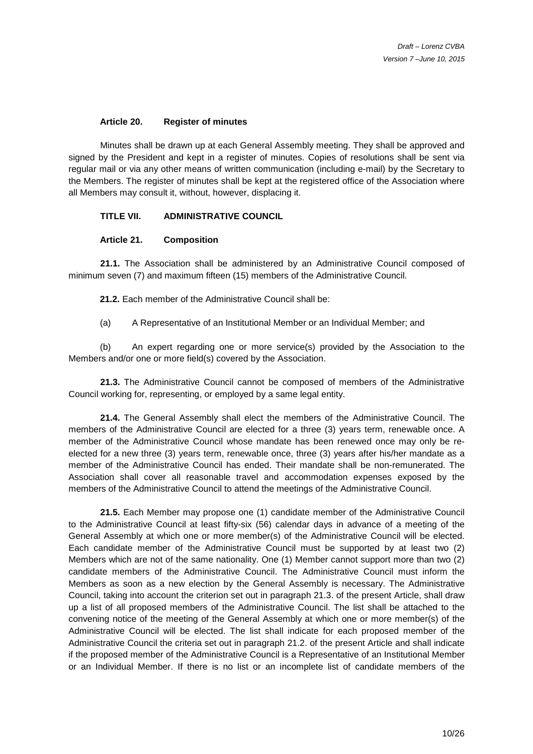#### **Article 20. Register of minutes**

 Minutes shall be drawn up at each General Assembly meeting. They shall be approved and signed by the President and kept in a register of minutes. Copies of resolutions shall be sent via regular mail or via any other means of written communication (including e-mail) by the Secretary to the Members. The register of minutes shall be kept at the registered office of the Association where all Members may consult it, without, however, displacing it.

#### **TITLE VII. ADMINISTRATIVE COUNCIL**

#### **Article 21. Composition**

**21.1.** The Association shall be administered by an Administrative Council composed of minimum seven (7) and maximum fifteen (15) members of the Administrative Council.

**21.2.** Each member of the Administrative Council shall be:

(a) A Representative of an Institutional Member or an Individual Member; and

(b) An expert regarding one or more service(s) provided by the Association to the Members and/or one or more field(s) covered by the Association.

**21.3.** The Administrative Council cannot be composed of members of the Administrative Council working for, representing, or employed by a same legal entity.

**21.4.** The General Assembly shall elect the members of the Administrative Council. The members of the Administrative Council are elected for a three (3) years term, renewable once. A member of the Administrative Council whose mandate has been renewed once may only be reelected for a new three (3) years term, renewable once, three (3) years after his/her mandate as a member of the Administrative Council has ended. Their mandate shall be non-remunerated. The Association shall cover all reasonable travel and accommodation expenses exposed by the members of the Administrative Council to attend the meetings of the Administrative Council.

**21.5.** Each Member may propose one (1) candidate member of the Administrative Council to the Administrative Council at least fifty-six (56) calendar days in advance of a meeting of the General Assembly at which one or more member(s) of the Administrative Council will be elected. Each candidate member of the Administrative Council must be supported by at least two (2) Members which are not of the same nationality. One (1) Member cannot support more than two (2) candidate members of the Administrative Council. The Administrative Council must inform the Members as soon as a new election by the General Assembly is necessary. The Administrative Council, taking into account the criterion set out in paragraph 21.3. of the present Article, shall draw up a list of all proposed members of the Administrative Council. The list shall be attached to the convening notice of the meeting of the General Assembly at which one or more member(s) of the Administrative Council will be elected. The list shall indicate for each proposed member of the Administrative Council the criteria set out in paragraph 21.2. of the present Article and shall indicate if the proposed member of the Administrative Council is a Representative of an Institutional Member or an Individual Member. If there is no list or an incomplete list of candidate members of the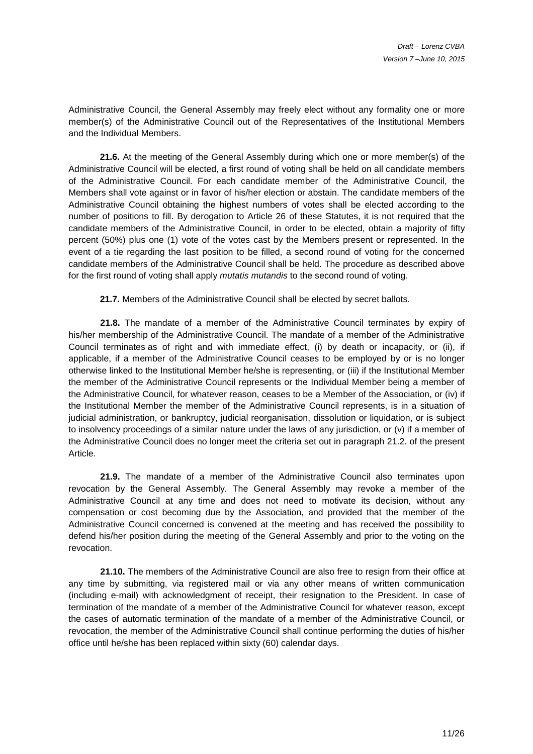Administrative Council, the General Assembly may freely elect without any formality one or more member(s) of the Administrative Council out of the Representatives of the Institutional Members and the Individual Members.

**21.6.** At the meeting of the General Assembly during which one or more member(s) of the Administrative Council will be elected, a first round of voting shall be held on all candidate members of the Administrative Council. For each candidate member of the Administrative Council, the Members shall vote against or in favor of his/her election or abstain. The candidate members of the Administrative Council obtaining the highest numbers of votes shall be elected according to the number of positions to fill. By derogation to Article 26 of these Statutes, it is not required that the candidate members of the Administrative Council, in order to be elected, obtain a majority of fifty percent (50%) plus one (1) vote of the votes cast by the Members present or represented. In the event of a tie regarding the last position to be filled, a second round of voting for the concerned candidate members of the Administrative Council shall be held. The procedure as described above for the first round of voting shall apply mutatis mutandis to the second round of voting.

**21.7.** Members of the Administrative Council shall be elected by secret ballots.

**21.8.** The mandate of a member of the Administrative Council terminates by expiry of his/her membership of the Administrative Council. The mandate of a member of the Administrative Council terminates as of right and with immediate effect, (i) by death or incapacity, or (ii), if applicable, if a member of the Administrative Council ceases to be employed by or is no longer otherwise linked to the Institutional Member he/she is representing, or (iii) if the Institutional Member the member of the Administrative Council represents or the Individual Member being a member of the Administrative Council, for whatever reason, ceases to be a Member of the Association, or (iv) if the Institutional Member the member of the Administrative Council represents, is in a situation of judicial administration, or bankruptcy, judicial reorganisation, dissolution or liquidation, or is subject to insolvency proceedings of a similar nature under the laws of any jurisdiction, or (v) if a member of the Administrative Council does no longer meet the criteria set out in paragraph 21.2. of the present Article.

**21.9.** The mandate of a member of the Administrative Council also terminates upon revocation by the General Assembly. The General Assembly may revoke a member of the Administrative Council at any time and does not need to motivate its decision, without any compensation or cost becoming due by the Association, and provided that the member of the Administrative Council concerned is convened at the meeting and has received the possibility to defend his/her position during the meeting of the General Assembly and prior to the voting on the revocation.

**21.10.** The members of the Administrative Council are also free to resign from their office at any time by submitting, via registered mail or via any other means of written communication (including e-mail) with acknowledgment of receipt, their resignation to the President. In case of termination of the mandate of a member of the Administrative Council for whatever reason, except the cases of automatic termination of the mandate of a member of the Administrative Council, or revocation, the member of the Administrative Council shall continue performing the duties of his/her office until he/she has been replaced within sixty (60) calendar days.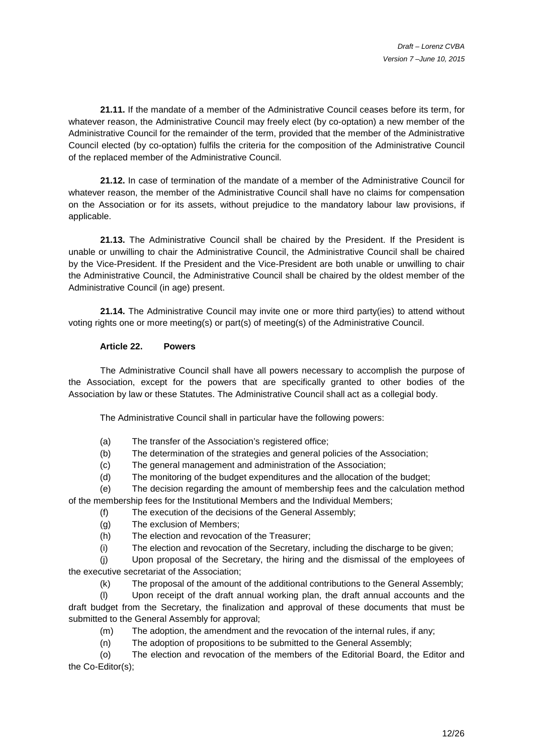**21.11.** If the mandate of a member of the Administrative Council ceases before its term, for whatever reason, the Administrative Council may freely elect (by co-optation) a new member of the Administrative Council for the remainder of the term, provided that the member of the Administrative Council elected (by co-optation) fulfils the criteria for the composition of the Administrative Council of the replaced member of the Administrative Council.

**21.12.** In case of termination of the mandate of a member of the Administrative Council for whatever reason, the member of the Administrative Council shall have no claims for compensation on the Association or for its assets, without prejudice to the mandatory labour law provisions, if applicable.

**21.13.** The Administrative Council shall be chaired by the President. If the President is unable or unwilling to chair the Administrative Council, the Administrative Council shall be chaired by the Vice-President. If the President and the Vice-President are both unable or unwilling to chair the Administrative Council, the Administrative Council shall be chaired by the oldest member of the Administrative Council (in age) present.

**21.14.** The Administrative Council may invite one or more third party(ies) to attend without voting rights one or more meeting(s) or part(s) of meeting(s) of the Administrative Council.

### **Article 22. Powers**

 The Administrative Council shall have all powers necessary to accomplish the purpose of the Association, except for the powers that are specifically granted to other bodies of the Association by law or these Statutes. The Administrative Council shall act as a collegial body.

The Administrative Council shall in particular have the following powers:

- (a) The transfer of the Association's registered office;
- (b) The determination of the strategies and general policies of the Association;
- (c) The general management and administration of the Association;
- (d) The monitoring of the budget expenditures and the allocation of the budget;

(e) The decision regarding the amount of membership fees and the calculation method of the membership fees for the Institutional Members and the Individual Members;

- (f) The execution of the decisions of the General Assembly;
- (g) The exclusion of Members;
- (h) The election and revocation of the Treasurer;
- (i) The election and revocation of the Secretary, including the discharge to be given;

(j) Upon proposal of the Secretary, the hiring and the dismissal of the employees of the executive secretariat of the Association;

(k) The proposal of the amount of the additional contributions to the General Assembly;

(l) Upon receipt of the draft annual working plan, the draft annual accounts and the draft budget from the Secretary, the finalization and approval of these documents that must be submitted to the General Assembly for approval;

- (m) The adoption, the amendment and the revocation of the internal rules, if any;
- (n) The adoption of propositions to be submitted to the General Assembly;

(o) The election and revocation of the members of the Editorial Board, the Editor and the Co-Editor(s);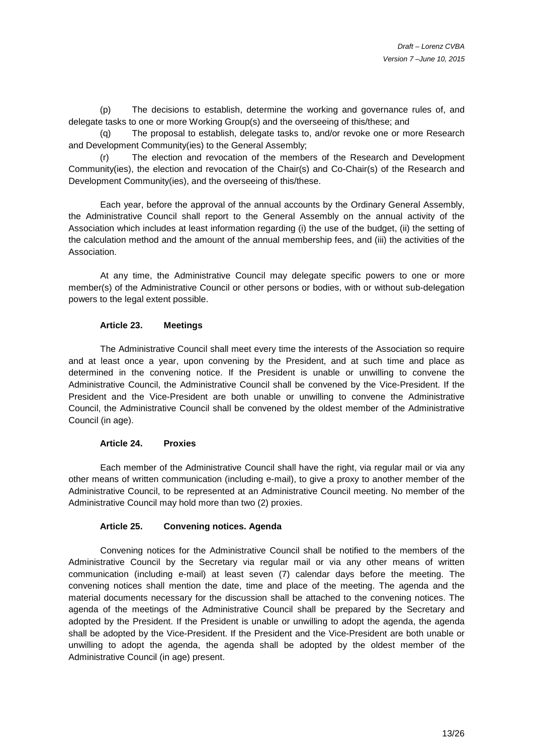(p) The decisions to establish, determine the working and governance rules of, and delegate tasks to one or more Working Group(s) and the overseeing of this/these; and

The proposal to establish, delegate tasks to, and/or revoke one or more Research and Development Community(ies) to the General Assembly;

(r) The election and revocation of the members of the Research and Development Community(ies), the election and revocation of the Chair(s) and Co-Chair(s) of the Research and Development Community(ies), and the overseeing of this/these.

 Each year, before the approval of the annual accounts by the Ordinary General Assembly, the Administrative Council shall report to the General Assembly on the annual activity of the Association which includes at least information regarding (i) the use of the budget, (ii) the setting of the calculation method and the amount of the annual membership fees, and (iii) the activities of the Association.

 At any time, the Administrative Council may delegate specific powers to one or more member(s) of the Administrative Council or other persons or bodies, with or without sub-delegation powers to the legal extent possible.

#### **Article 23. Meetings**

 The Administrative Council shall meet every time the interests of the Association so require and at least once a year, upon convening by the President, and at such time and place as determined in the convening notice. If the President is unable or unwilling to convene the Administrative Council, the Administrative Council shall be convened by the Vice-President. If the President and the Vice-President are both unable or unwilling to convene the Administrative Council, the Administrative Council shall be convened by the oldest member of the Administrative Council (in age).

#### **Article 24. Proxies**

 Each member of the Administrative Council shall have the right, via regular mail or via any other means of written communication (including e-mail), to give a proxy to another member of the Administrative Council, to be represented at an Administrative Council meeting. No member of the Administrative Council may hold more than two (2) proxies.

# **Article 25. Convening notices. Agenda**

 Convening notices for the Administrative Council shall be notified to the members of the Administrative Council by the Secretary via regular mail or via any other means of written communication (including e-mail) at least seven (7) calendar days before the meeting. The convening notices shall mention the date, time and place of the meeting. The agenda and the material documents necessary for the discussion shall be attached to the convening notices. The agenda of the meetings of the Administrative Council shall be prepared by the Secretary and adopted by the President. If the President is unable or unwilling to adopt the agenda, the agenda shall be adopted by the Vice-President. If the President and the Vice-President are both unable or unwilling to adopt the agenda, the agenda shall be adopted by the oldest member of the Administrative Council (in age) present.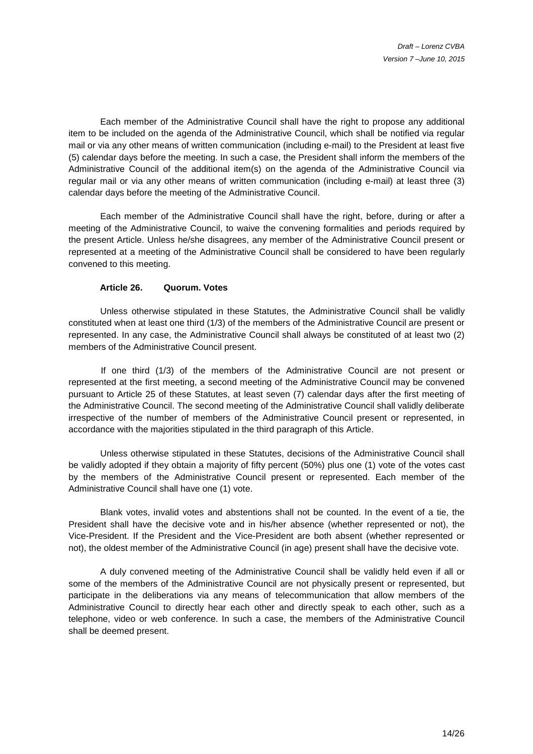Each member of the Administrative Council shall have the right to propose any additional item to be included on the agenda of the Administrative Council, which shall be notified via regular mail or via any other means of written communication (including e-mail) to the President at least five (5) calendar days before the meeting. In such a case, the President shall inform the members of the Administrative Council of the additional item(s) on the agenda of the Administrative Council via regular mail or via any other means of written communication (including e-mail) at least three (3) calendar days before the meeting of the Administrative Council.

 Each member of the Administrative Council shall have the right, before, during or after a meeting of the Administrative Council, to waive the convening formalities and periods required by the present Article. Unless he/she disagrees, any member of the Administrative Council present or represented at a meeting of the Administrative Council shall be considered to have been regularly convened to this meeting.

#### **Article 26. Quorum. Votes**

 Unless otherwise stipulated in these Statutes, the Administrative Council shall be validly constituted when at least one third (1/3) of the members of the Administrative Council are present or represented. In any case, the Administrative Council shall always be constituted of at least two (2) members of the Administrative Council present.

If one third (1/3) of the members of the Administrative Council are not present or represented at the first meeting, a second meeting of the Administrative Council may be convened pursuant to Article 25 of these Statutes, at least seven (7) calendar days after the first meeting of the Administrative Council. The second meeting of the Administrative Council shall validly deliberate irrespective of the number of members of the Administrative Council present or represented, in accordance with the majorities stipulated in the third paragraph of this Article.

 Unless otherwise stipulated in these Statutes, decisions of the Administrative Council shall be validly adopted if they obtain a majority of fifty percent (50%) plus one (1) vote of the votes cast by the members of the Administrative Council present or represented. Each member of the Administrative Council shall have one (1) vote.

 Blank votes, invalid votes and abstentions shall not be counted. In the event of a tie, the President shall have the decisive vote and in his/her absence (whether represented or not), the Vice-President. If the President and the Vice-President are both absent (whether represented or not), the oldest member of the Administrative Council (in age) present shall have the decisive vote.

 A duly convened meeting of the Administrative Council shall be validly held even if all or some of the members of the Administrative Council are not physically present or represented, but participate in the deliberations via any means of telecommunication that allow members of the Administrative Council to directly hear each other and directly speak to each other, such as a telephone, video or web conference. In such a case, the members of the Administrative Council shall be deemed present.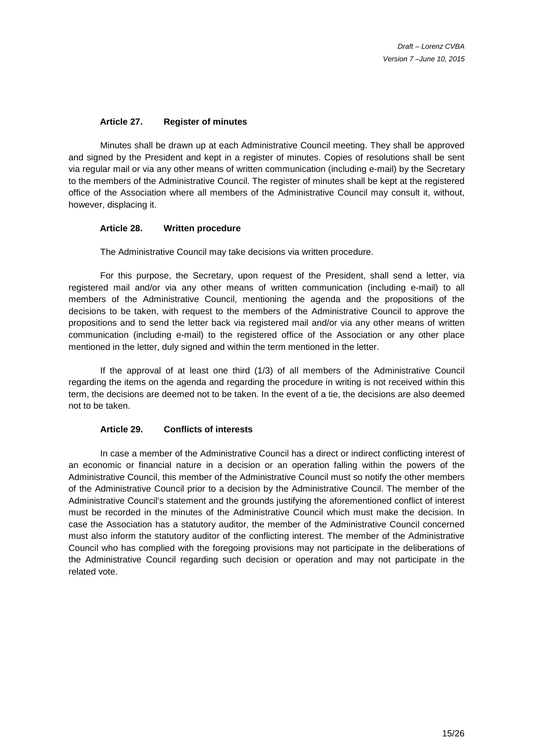### **Article 27. Register of minutes**

 Minutes shall be drawn up at each Administrative Council meeting. They shall be approved and signed by the President and kept in a register of minutes. Copies of resolutions shall be sent via regular mail or via any other means of written communication (including e-mail) by the Secretary to the members of the Administrative Council. The register of minutes shall be kept at the registered office of the Association where all members of the Administrative Council may consult it, without, however, displacing it.

#### **Article 28. Written procedure**

The Administrative Council may take decisions via written procedure.

 For this purpose, the Secretary, upon request of the President, shall send a letter, via registered mail and/or via any other means of written communication (including e-mail) to all members of the Administrative Council, mentioning the agenda and the propositions of the decisions to be taken, with request to the members of the Administrative Council to approve the propositions and to send the letter back via registered mail and/or via any other means of written communication (including e-mail) to the registered office of the Association or any other place mentioned in the letter, duly signed and within the term mentioned in the letter.

 If the approval of at least one third (1/3) of all members of the Administrative Council regarding the items on the agenda and regarding the procedure in writing is not received within this term, the decisions are deemed not to be taken. In the event of a tie, the decisions are also deemed not to be taken.

### **Article 29. Conflicts of interests**

In case a member of the Administrative Council has a direct or indirect conflicting interest of an economic or financial nature in a decision or an operation falling within the powers of the Administrative Council, this member of the Administrative Council must so notify the other members of the Administrative Council prior to a decision by the Administrative Council. The member of the Administrative Council's statement and the grounds justifying the aforementioned conflict of interest must be recorded in the minutes of the Administrative Council which must make the decision. In case the Association has a statutory auditor, the member of the Administrative Council concerned must also inform the statutory auditor of the conflicting interest. The member of the Administrative Council who has complied with the foregoing provisions may not participate in the deliberations of the Administrative Council regarding such decision or operation and may not participate in the related vote.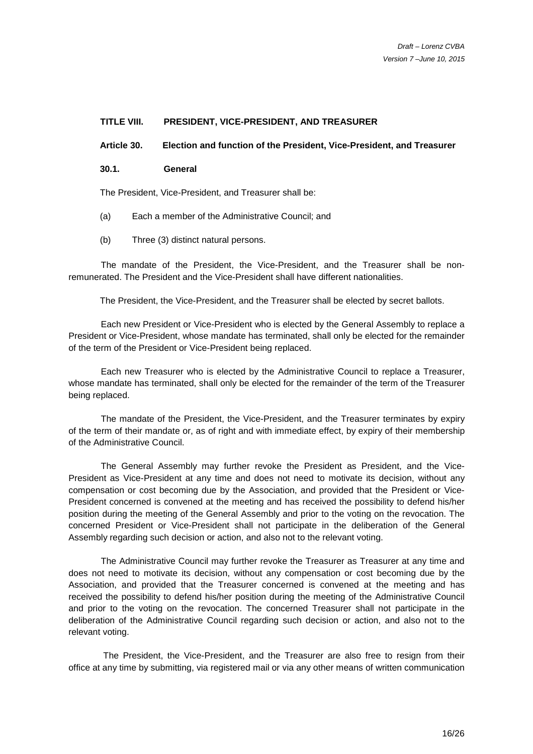#### **TITLE VIII. PRESIDENT, VICE-PRESIDENT, AND TREASURER**

**Article 30. Election and function of the President, Vice-President, and Treasurer** 

**30.1. General** 

The President, Vice-President, and Treasurer shall be:

- (a) Each a member of the Administrative Council; and
- (b) Three (3) distinct natural persons.

The mandate of the President, the Vice-President, and the Treasurer shall be nonremunerated. The President and the Vice-President shall have different nationalities.

The President, the Vice-President, and the Treasurer shall be elected by secret ballots.

Each new President or Vice-President who is elected by the General Assembly to replace a President or Vice-President, whose mandate has terminated, shall only be elected for the remainder of the term of the President or Vice-President being replaced.

Each new Treasurer who is elected by the Administrative Council to replace a Treasurer, whose mandate has terminated, shall only be elected for the remainder of the term of the Treasurer being replaced.

The mandate of the President, the Vice-President, and the Treasurer terminates by expiry of the term of their mandate or, as of right and with immediate effect, by expiry of their membership of the Administrative Council.

The General Assembly may further revoke the President as President, and the Vice-President as Vice-President at any time and does not need to motivate its decision, without any compensation or cost becoming due by the Association, and provided that the President or Vice-President concerned is convened at the meeting and has received the possibility to defend his/her position during the meeting of the General Assembly and prior to the voting on the revocation. The concerned President or Vice-President shall not participate in the deliberation of the General Assembly regarding such decision or action, and also not to the relevant voting.

The Administrative Council may further revoke the Treasurer as Treasurer at any time and does not need to motivate its decision, without any compensation or cost becoming due by the Association, and provided that the Treasurer concerned is convened at the meeting and has received the possibility to defend his/her position during the meeting of the Administrative Council and prior to the voting on the revocation. The concerned Treasurer shall not participate in the deliberation of the Administrative Council regarding such decision or action, and also not to the relevant voting.

 The President, the Vice-President, and the Treasurer are also free to resign from their office at any time by submitting, via registered mail or via any other means of written communication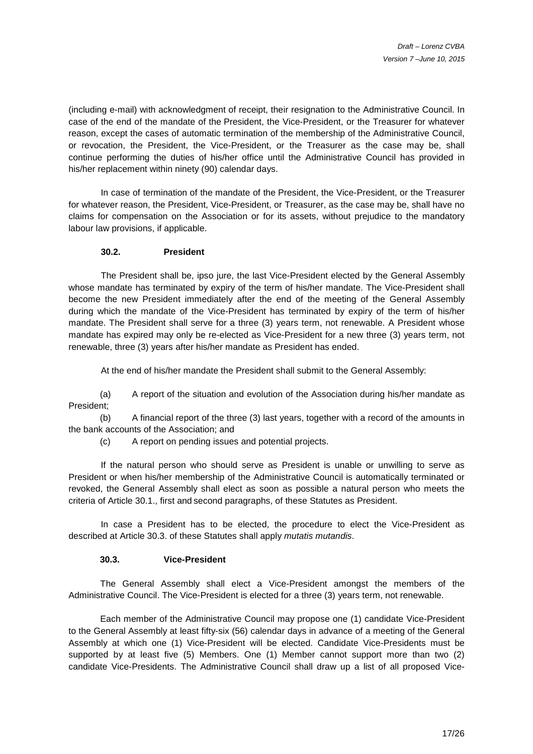(including e-mail) with acknowledgment of receipt, their resignation to the Administrative Council. In case of the end of the mandate of the President, the Vice-President, or the Treasurer for whatever reason, except the cases of automatic termination of the membership of the Administrative Council, or revocation, the President, the Vice-President, or the Treasurer as the case may be, shall continue performing the duties of his/her office until the Administrative Council has provided in his/her replacement within ninety (90) calendar days.

In case of termination of the mandate of the President, the Vice-President, or the Treasurer for whatever reason, the President, Vice-President, or Treasurer, as the case may be, shall have no claims for compensation on the Association or for its assets, without prejudice to the mandatory labour law provisions, if applicable.

### **30.2. President**

The President shall be, ipso jure, the last Vice-President elected by the General Assembly whose mandate has terminated by expiry of the term of his/her mandate. The Vice-President shall become the new President immediately after the end of the meeting of the General Assembly during which the mandate of the Vice-President has terminated by expiry of the term of his/her mandate. The President shall serve for a three (3) years term, not renewable. A President whose mandate has expired may only be re-elected as Vice-President for a new three (3) years term, not renewable, three (3) years after his/her mandate as President has ended.

At the end of his/her mandate the President shall submit to the General Assembly:

(a) A report of the situation and evolution of the Association during his/her mandate as President;

(b) A financial report of the three (3) last years, together with a record of the amounts in the bank accounts of the Association; and

(c) A report on pending issues and potential projects.

If the natural person who should serve as President is unable or unwilling to serve as President or when his/her membership of the Administrative Council is automatically terminated or revoked, the General Assembly shall elect as soon as possible a natural person who meets the criteria of Article 30.1., first and second paragraphs, of these Statutes as President.

In case a President has to be elected, the procedure to elect the Vice-President as described at Article 30.3. of these Statutes shall apply mutatis mutandis.

### **30.3. Vice-President**

The General Assembly shall elect a Vice-President amongst the members of the Administrative Council. The Vice-President is elected for a three (3) years term, not renewable.

 Each member of the Administrative Council may propose one (1) candidate Vice-President to the General Assembly at least fifty-six (56) calendar days in advance of a meeting of the General Assembly at which one (1) Vice-President will be elected. Candidate Vice-Presidents must be supported by at least five (5) Members. One (1) Member cannot support more than two (2) candidate Vice-Presidents. The Administrative Council shall draw up a list of all proposed Vice-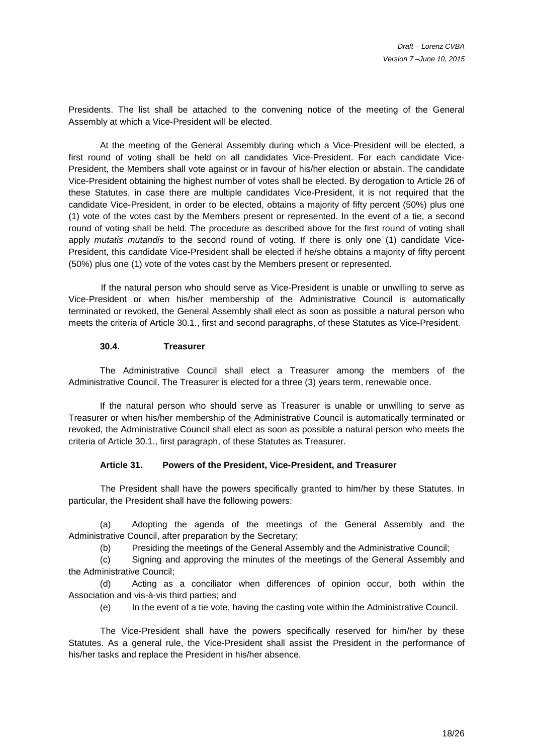Presidents. The list shall be attached to the convening notice of the meeting of the General Assembly at which a Vice-President will be elected.

At the meeting of the General Assembly during which a Vice-President will be elected, a first round of voting shall be held on all candidates Vice-President. For each candidate Vice-President, the Members shall vote against or in favour of his/her election or abstain. The candidate Vice-President obtaining the highest number of votes shall be elected. By derogation to Article 26 of these Statutes, in case there are multiple candidates Vice-President, it is not required that the candidate Vice-President, in order to be elected, obtains a majority of fifty percent (50%) plus one (1) vote of the votes cast by the Members present or represented. In the event of a tie, a second round of voting shall be held. The procedure as described above for the first round of voting shall apply mutatis mutandis to the second round of voting. If there is only one (1) candidate Vice-President, this candidate Vice-President shall be elected if he/she obtains a majority of fifty percent (50%) plus one (1) vote of the votes cast by the Members present or represented.

If the natural person who should serve as Vice-President is unable or unwilling to serve as Vice-President or when his/her membership of the Administrative Council is automatically terminated or revoked, the General Assembly shall elect as soon as possible a natural person who meets the criteria of Article 30.1., first and second paragraphs, of these Statutes as Vice-President.

#### **30.4. Treasurer**

The Administrative Council shall elect a Treasurer among the members of the Administrative Council. The Treasurer is elected for a three (3) years term, renewable once.

If the natural person who should serve as Treasurer is unable or unwilling to serve as Treasurer or when his/her membership of the Administrative Council is automatically terminated or revoked, the Administrative Council shall elect as soon as possible a natural person who meets the criteria of Article 30.1., first paragraph, of these Statutes as Treasurer.

#### **Article 31. Powers of the President, Vice-President, and Treasurer**

 The President shall have the powers specifically granted to him/her by these Statutes. In particular, the President shall have the following powers:

(a) Adopting the agenda of the meetings of the General Assembly and the Administrative Council, after preparation by the Secretary;

(b) Presiding the meetings of the General Assembly and the Administrative Council;

(c) Signing and approving the minutes of the meetings of the General Assembly and the Administrative Council;

(d) Acting as a conciliator when differences of opinion occur, both within the Association and vis-à-vis third parties; and

(e) In the event of a tie vote, having the casting vote within the Administrative Council.

 The Vice-President shall have the powers specifically reserved for him/her by these Statutes. As a general rule, the Vice-President shall assist the President in the performance of his/her tasks and replace the President in his/her absence.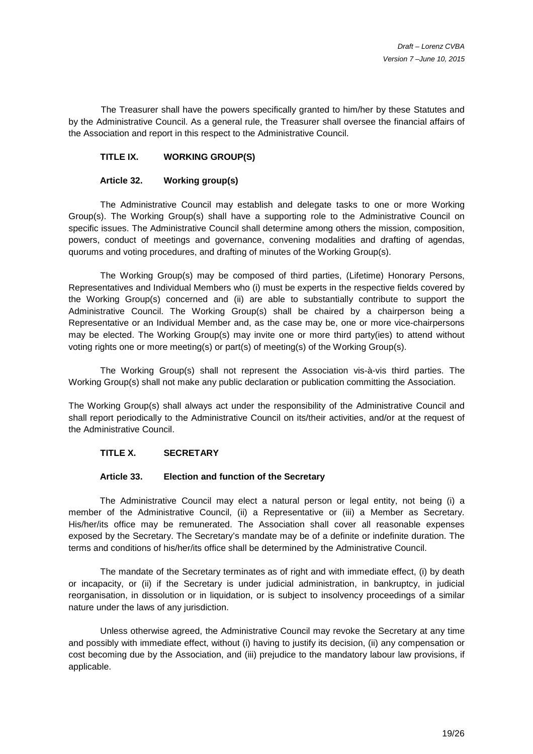The Treasurer shall have the powers specifically granted to him/her by these Statutes and by the Administrative Council. As a general rule, the Treasurer shall oversee the financial affairs of the Association and report in this respect to the Administrative Council.

### **TITLE IX. WORKING GROUP(S)**

### **Article 32. Working group(s)**

 The Administrative Council may establish and delegate tasks to one or more Working Group(s). The Working Group(s) shall have a supporting role to the Administrative Council on specific issues. The Administrative Council shall determine among others the mission, composition, powers, conduct of meetings and governance, convening modalities and drafting of agendas, quorums and voting procedures, and drafting of minutes of the Working Group(s).

The Working Group(s) may be composed of third parties, (Lifetime) Honorary Persons, Representatives and Individual Members who (i) must be experts in the respective fields covered by the Working Group(s) concerned and (ii) are able to substantially contribute to support the Administrative Council. The Working Group(s) shall be chaired by a chairperson being a Representative or an Individual Member and, as the case may be, one or more vice-chairpersons may be elected. The Working Group(s) may invite one or more third party(ies) to attend without voting rights one or more meeting(s) or part(s) of meeting(s) of the Working Group(s).

The Working Group(s) shall not represent the Association vis-à-vis third parties. The Working Group(s) shall not make any public declaration or publication committing the Association.

The Working Group(s) shall always act under the responsibility of the Administrative Council and shall report periodically to the Administrative Council on its/their activities, and/or at the request of the Administrative Council.

### **TITLE X. SECRETARY**

#### **Article 33. Election and function of the Secretary**

The Administrative Council may elect a natural person or legal entity, not being (i) a member of the Administrative Council, (ii) a Representative or (iii) a Member as Secretary. His/her/its office may be remunerated. The Association shall cover all reasonable expenses exposed by the Secretary. The Secretary's mandate may be of a definite or indefinite duration. The terms and conditions of his/her/its office shall be determined by the Administrative Council.

 The mandate of the Secretary terminates as of right and with immediate effect, (i) by death or incapacity, or (ii) if the Secretary is under judicial administration, in bankruptcy, in judicial reorganisation, in dissolution or in liquidation, or is subject to insolvency proceedings of a similar nature under the laws of any jurisdiction.

 Unless otherwise agreed, the Administrative Council may revoke the Secretary at any time and possibly with immediate effect, without (i) having to justify its decision, (ii) any compensation or cost becoming due by the Association, and (iii) prejudice to the mandatory labour law provisions, if applicable.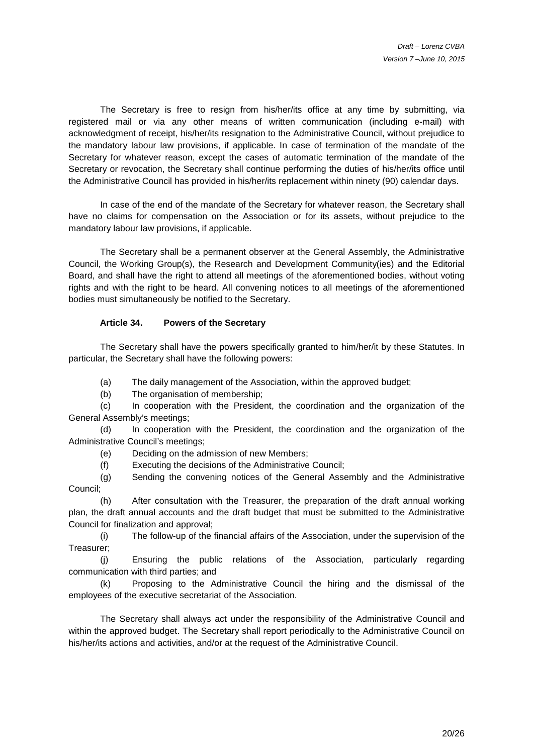The Secretary is free to resign from his/her/its office at any time by submitting, via registered mail or via any other means of written communication (including e-mail) with acknowledgment of receipt, his/her/its resignation to the Administrative Council, without prejudice to the mandatory labour law provisions, if applicable. In case of termination of the mandate of the Secretary for whatever reason, except the cases of automatic termination of the mandate of the Secretary or revocation, the Secretary shall continue performing the duties of his/her/its office until the Administrative Council has provided in his/her/its replacement within ninety (90) calendar days.

In case of the end of the mandate of the Secretary for whatever reason, the Secretary shall have no claims for compensation on the Association or for its assets, without prejudice to the mandatory labour law provisions, if applicable.

 The Secretary shall be a permanent observer at the General Assembly, the Administrative Council, the Working Group(s), the Research and Development Community(ies) and the Editorial Board, and shall have the right to attend all meetings of the aforementioned bodies, without voting rights and with the right to be heard. All convening notices to all meetings of the aforementioned bodies must simultaneously be notified to the Secretary.

### **Article 34. Powers of the Secretary**

The Secretary shall have the powers specifically granted to him/her/it by these Statutes. In particular, the Secretary shall have the following powers:

(a) The daily management of the Association, within the approved budget;

(b) The organisation of membership;

(c) In cooperation with the President, the coordination and the organization of the General Assembly's meetings;

(d) In cooperation with the President, the coordination and the organization of the Administrative Council's meetings;

(e) Deciding on the admission of new Members;

(f) Executing the decisions of the Administrative Council;

(g) Sending the convening notices of the General Assembly and the Administrative Council;

(h) After consultation with the Treasurer, the preparation of the draft annual working plan, the draft annual accounts and the draft budget that must be submitted to the Administrative Council for finalization and approval;

(i) The follow-up of the financial affairs of the Association, under the supervision of the Treasurer;

(j) Ensuring the public relations of the Association, particularly regarding communication with third parties; and

(k) Proposing to the Administrative Council the hiring and the dismissal of the employees of the executive secretariat of the Association.

The Secretary shall always act under the responsibility of the Administrative Council and within the approved budget. The Secretary shall report periodically to the Administrative Council on his/her/its actions and activities, and/or at the request of the Administrative Council.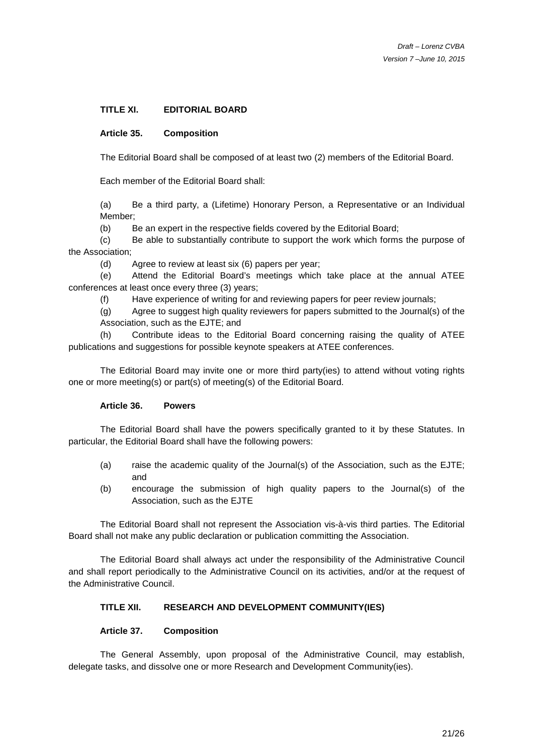### **TITLE XI. EDITORIAL BOARD**

#### **Article 35. Composition**

The Editorial Board shall be composed of at least two (2) members of the Editorial Board.

Each member of the Editorial Board shall:

(a) Be a third party, a (Lifetime) Honorary Person, a Representative or an Individual Member;

(b) Be an expert in the respective fields covered by the Editorial Board;

(c) Be able to substantially contribute to support the work which forms the purpose of the Association;

(d) Agree to review at least six (6) papers per year;

(e) Attend the Editorial Board's meetings which take place at the annual ATEE conferences at least once every three (3) years;

(f) Have experience of writing for and reviewing papers for peer review journals;

(g) Agree to suggest high quality reviewers for papers submitted to the Journal(s) of the Association, such as the EJTE; and

(h) Contribute ideas to the Editorial Board concerning raising the quality of ATEE publications and suggestions for possible keynote speakers at ATEE conferences.

The Editorial Board may invite one or more third party(ies) to attend without voting rights one or more meeting(s) or part(s) of meeting(s) of the Editorial Board.

#### **Article 36. Powers**

The Editorial Board shall have the powers specifically granted to it by these Statutes. In particular, the Editorial Board shall have the following powers:

- (a) raise the academic quality of the Journal(s) of the Association, such as the EJTE; and
- (b) encourage the submission of high quality papers to the Journal(s) of the Association, such as the EJTE

The Editorial Board shall not represent the Association vis-à-vis third parties. The Editorial Board shall not make any public declaration or publication committing the Association.

The Editorial Board shall always act under the responsibility of the Administrative Council and shall report periodically to the Administrative Council on its activities, and/or at the request of the Administrative Council.

### **TITLE XII. RESEARCH AND DEVELOPMENT COMMUNITY(IES)**

#### **Article 37. Composition**

 The General Assembly, upon proposal of the Administrative Council, may establish, delegate tasks, and dissolve one or more Research and Development Community(ies).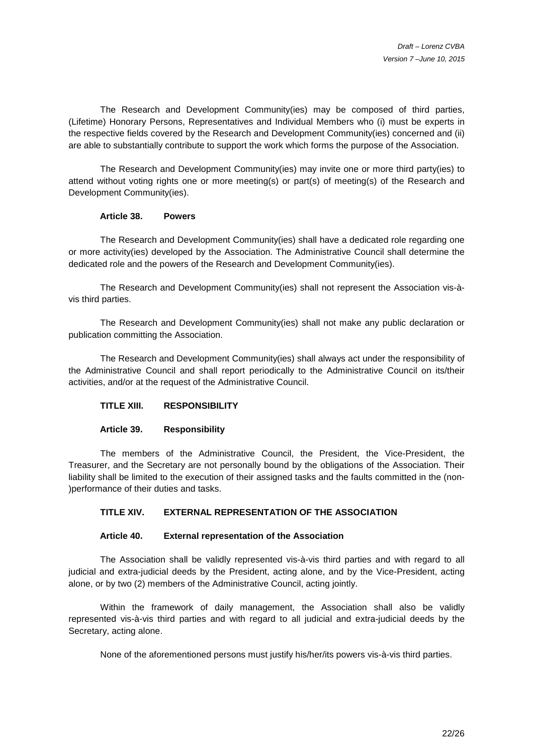The Research and Development Community(ies) may be composed of third parties, (Lifetime) Honorary Persons, Representatives and Individual Members who (i) must be experts in the respective fields covered by the Research and Development Community(ies) concerned and (ii) are able to substantially contribute to support the work which forms the purpose of the Association.

The Research and Development Community(ies) may invite one or more third party(ies) to attend without voting rights one or more meeting(s) or part(s) of meeting(s) of the Research and Development Community(ies).

#### **Article 38. Powers**

The Research and Development Community(ies) shall have a dedicated role regarding one or more activity(ies) developed by the Association. The Administrative Council shall determine the dedicated role and the powers of the Research and Development Community(ies).

The Research and Development Community(ies) shall not represent the Association vis-àvis third parties.

The Research and Development Community(ies) shall not make any public declaration or publication committing the Association.

 The Research and Development Community(ies) shall always act under the responsibility of the Administrative Council and shall report periodically to the Administrative Council on its/their activities, and/or at the request of the Administrative Council.

### **TITLE XIII. RESPONSIBILITY**

### **Article 39. Responsibility**

 The members of the Administrative Council, the President, the Vice-President, the Treasurer, and the Secretary are not personally bound by the obligations of the Association. Their liability shall be limited to the execution of their assigned tasks and the faults committed in the (non- )performance of their duties and tasks.

### **TITLE XIV. EXTERNAL REPRESENTATION OF THE ASSOCIATION**

#### **Article 40. External representation of the Association**

 The Association shall be validly represented vis-à-vis third parties and with regard to all judicial and extra-judicial deeds by the President, acting alone, and by the Vice-President, acting alone, or by two (2) members of the Administrative Council, acting jointly.

 Within the framework of daily management, the Association shall also be validly represented vis-à-vis third parties and with regard to all judicial and extra-judicial deeds by the Secretary, acting alone.

None of the aforementioned persons must justify his/her/its powers vis-à-vis third parties.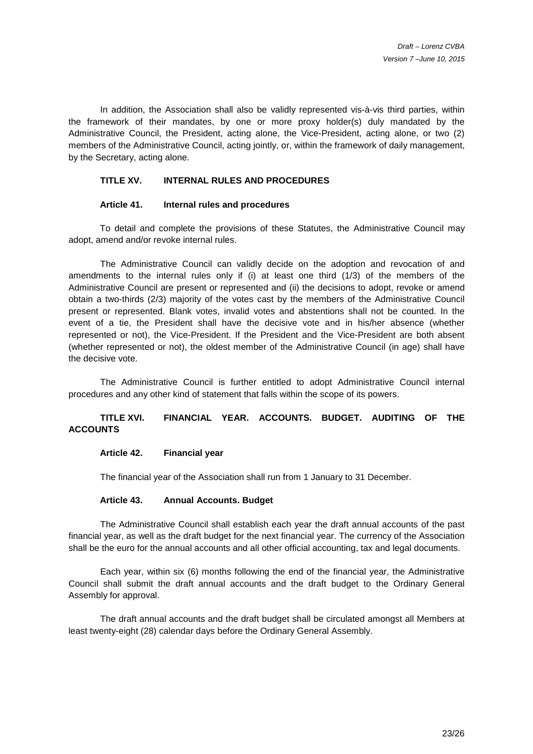In addition, the Association shall also be validly represented vis-à-vis third parties, within the framework of their mandates, by one or more proxy holder(s) duly mandated by the Administrative Council, the President, acting alone, the Vice-President, acting alone, or two (2) members of the Administrative Council, acting jointly, or, within the framework of daily management, by the Secretary, acting alone.

#### **TITLE XV. INTERNAL RULES AND PROCEDURES**

#### **Article 41. Internal rules and procedures**

To detail and complete the provisions of these Statutes, the Administrative Council may adopt, amend and/or revoke internal rules.

 The Administrative Council can validly decide on the adoption and revocation of and amendments to the internal rules only if (i) at least one third (1/3) of the members of the Administrative Council are present or represented and (ii) the decisions to adopt, revoke or amend obtain a two-thirds (2/3) majority of the votes cast by the members of the Administrative Council present or represented. Blank votes, invalid votes and abstentions shall not be counted. In the event of a tie, the President shall have the decisive vote and in his/her absence (whether represented or not), the Vice-President. If the President and the Vice-President are both absent (whether represented or not), the oldest member of the Administrative Council (in age) shall have the decisive vote.

The Administrative Council is further entitled to adopt Administrative Council internal procedures and any other kind of statement that falls within the scope of its powers.

# **TITLE XVI. FINANCIAL YEAR. ACCOUNTS. BUDGET. AUDITING OF THE ACCOUNTS**

#### **Article 42. Financial year**

The financial year of the Association shall run from 1 January to 31 December.

#### **Article 43. Annual Accounts. Budget**

 The Administrative Council shall establish each year the draft annual accounts of the past financial year, as well as the draft budget for the next financial year. The currency of the Association shall be the euro for the annual accounts and all other official accounting, tax and legal documents.

 Each year, within six (6) months following the end of the financial year, the Administrative Council shall submit the draft annual accounts and the draft budget to the Ordinary General Assembly for approval.

 The draft annual accounts and the draft budget shall be circulated amongst all Members at least twenty-eight (28) calendar days before the Ordinary General Assembly.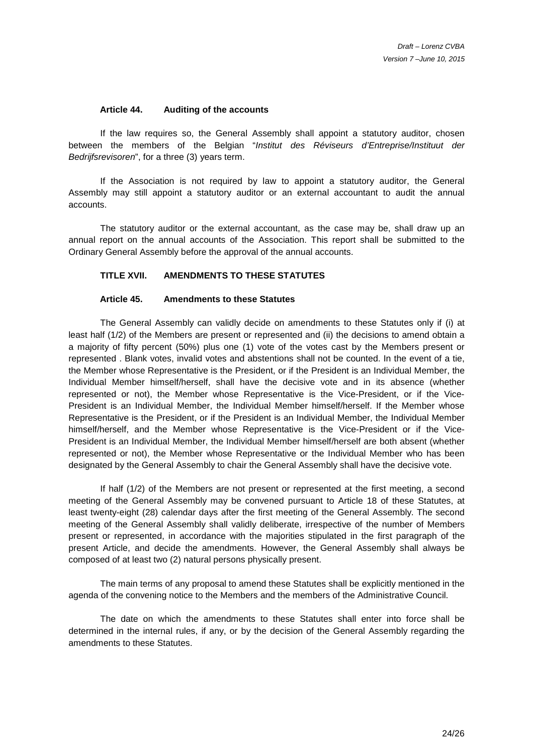#### **Article 44. Auditing of the accounts**

 If the law requires so, the General Assembly shall appoint a statutory auditor, chosen between the members of the Belgian "Institut des Réviseurs d'Entreprise/Instituut der Bedrijfsrevisoren", for a three (3) years term.

 If the Association is not required by law to appoint a statutory auditor, the General Assembly may still appoint a statutory auditor or an external accountant to audit the annual accounts.

 The statutory auditor or the external accountant, as the case may be, shall draw up an annual report on the annual accounts of the Association. This report shall be submitted to the Ordinary General Assembly before the approval of the annual accounts.

#### **TITLE XVII. AMENDMENTS TO THESE STATUTES**

#### **Article 45. Amendments to these Statutes**

 The General Assembly can validly decide on amendments to these Statutes only if (i) at least half (1/2) of the Members are present or represented and (ii) the decisions to amend obtain a a majority of fifty percent (50%) plus one (1) vote of the votes cast by the Members present or represented . Blank votes, invalid votes and abstentions shall not be counted. In the event of a tie, the Member whose Representative is the President, or if the President is an Individual Member, the Individual Member himself/herself, shall have the decisive vote and in its absence (whether represented or not), the Member whose Representative is the Vice-President, or if the Vice-President is an Individual Member, the Individual Member himself/herself. If the Member whose Representative is the President, or if the President is an Individual Member, the Individual Member himself/herself, and the Member whose Representative is the Vice-President or if the Vice-President is an Individual Member, the Individual Member himself/herself are both absent (whether represented or not), the Member whose Representative or the Individual Member who has been designated by the General Assembly to chair the General Assembly shall have the decisive vote.

 If half (1/2) of the Members are not present or represented at the first meeting, a second meeting of the General Assembly may be convened pursuant to Article 18 of these Statutes, at least twenty-eight (28) calendar days after the first meeting of the General Assembly. The second meeting of the General Assembly shall validly deliberate, irrespective of the number of Members present or represented, in accordance with the majorities stipulated in the first paragraph of the present Article, and decide the amendments. However, the General Assembly shall always be composed of at least two (2) natural persons physically present.

 The main terms of any proposal to amend these Statutes shall be explicitly mentioned in the agenda of the convening notice to the Members and the members of the Administrative Council.

 The date on which the amendments to these Statutes shall enter into force shall be determined in the internal rules, if any, or by the decision of the General Assembly regarding the amendments to these Statutes.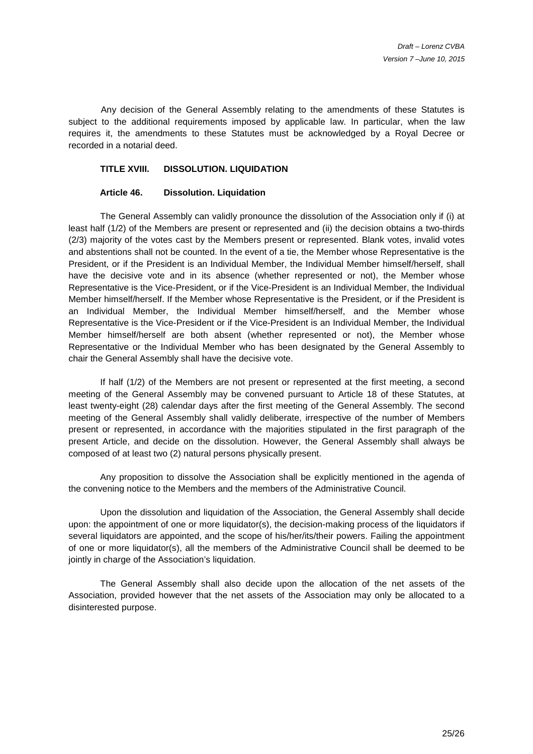Any decision of the General Assembly relating to the amendments of these Statutes is subject to the additional requirements imposed by applicable law. In particular, when the law requires it, the amendments to these Statutes must be acknowledged by a Royal Decree or recorded in a notarial deed.

#### **TITLE XVIII. DISSOLUTION. LIQUIDATION**

#### **Article 46. Dissolution. Liquidation**

 The General Assembly can validly pronounce the dissolution of the Association only if (i) at least half (1/2) of the Members are present or represented and (ii) the decision obtains a two-thirds (2/3) majority of the votes cast by the Members present or represented. Blank votes, invalid votes and abstentions shall not be counted. In the event of a tie, the Member whose Representative is the President, or if the President is an Individual Member, the Individual Member himself/herself, shall have the decisive vote and in its absence (whether represented or not), the Member whose Representative is the Vice-President, or if the Vice-President is an Individual Member, the Individual Member himself/herself. If the Member whose Representative is the President, or if the President is an Individual Member, the Individual Member himself/herself, and the Member whose Representative is the Vice-President or if the Vice-President is an Individual Member, the Individual Member himself/herself are both absent (whether represented or not), the Member whose Representative or the Individual Member who has been designated by the General Assembly to chair the General Assembly shall have the decisive vote.

 If half (1/2) of the Members are not present or represented at the first meeting, a second meeting of the General Assembly may be convened pursuant to Article 18 of these Statutes, at least twenty-eight (28) calendar days after the first meeting of the General Assembly. The second meeting of the General Assembly shall validly deliberate, irrespective of the number of Members present or represented, in accordance with the majorities stipulated in the first paragraph of the present Article, and decide on the dissolution. However, the General Assembly shall always be composed of at least two (2) natural persons physically present.

 Any proposition to dissolve the Association shall be explicitly mentioned in the agenda of the convening notice to the Members and the members of the Administrative Council.

 Upon the dissolution and liquidation of the Association, the General Assembly shall decide upon: the appointment of one or more liquidator(s), the decision-making process of the liquidators if several liquidators are appointed, and the scope of his/her/its/their powers. Failing the appointment of one or more liquidator(s), all the members of the Administrative Council shall be deemed to be jointly in charge of the Association's liquidation.

 The General Assembly shall also decide upon the allocation of the net assets of the Association, provided however that the net assets of the Association may only be allocated to a disinterested purpose.